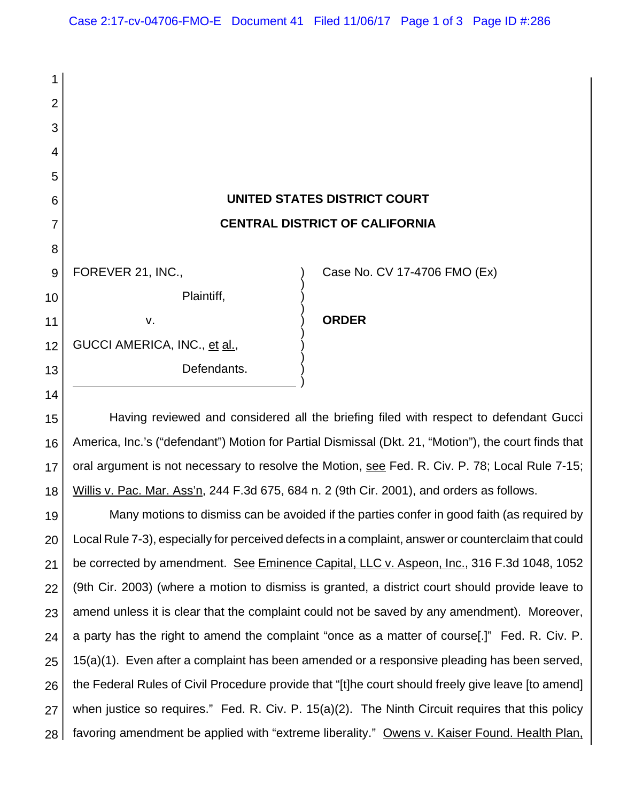| 1              |                                                                                                      |                              |
|----------------|------------------------------------------------------------------------------------------------------|------------------------------|
| $\overline{2}$ |                                                                                                      |                              |
| 3              |                                                                                                      |                              |
| 4              |                                                                                                      |                              |
| 5              |                                                                                                      |                              |
| 6              | UNITED STATES DISTRICT COURT                                                                         |                              |
| $\overline{7}$ | <b>CENTRAL DISTRICT OF CALIFORNIA</b>                                                                |                              |
| 8              |                                                                                                      |                              |
| 9              | FOREVER 21, INC.,                                                                                    | Case No. CV 17-4706 FMO (Ex) |
| 10             | Plaintiff,                                                                                           |                              |
| 11             | V.                                                                                                   | <b>ORDER</b>                 |
| 12             | GUCCI AMERICA, INC., et al.,                                                                         |                              |
| 13             | Defendants.                                                                                          |                              |
| 14             |                                                                                                      |                              |
| 15             | Having reviewed and considered all the briefing filed with respect to defendant Gucci                |                              |
| 16             | America, Inc.'s ("defendant") Motion for Partial Dismissal (Dkt. 21, "Motion"), the court finds that |                              |
| 17             | oral argument is not necessary to resolve the Motion, see Fed. R. Civ. P. 78; Local Rule 7-15;       |                              |
| 18             | Willis v. Pac. Mar. Ass'n, 244 F.3d 675, 684 n. 2 (9th Cir. 2001), and orders as follows.            |                              |
| 19             | Many motions to dismiss can be avoided if the parties confer in good faith (as required by           |                              |
| $\sim$ $\sim$  | Lool Dule 7.0), canogially for perceived defects in a complaint enouver area unterstainted sould     |                              |

20 21 22 23 24 25 26 27 28 Local Rule 7-3), especially for perceived defects in a complaint, answer or counterclaim that could be corrected by amendment. See Eminence Capital, LLC v. Aspeon, Inc., 316 F.3d 1048, 1052 (9th Cir. 2003) (where a motion to dismiss is granted, a district court should provide leave to amend unless it is clear that the complaint could not be saved by any amendment). Moreover, a party has the right to amend the complaint "once as a matter of course[.]" Fed. R. Civ. P. 15(a)(1). Even after a complaint has been amended or a responsive pleading has been served, the Federal Rules of Civil Procedure provide that "[t]he court should freely give leave [to amend] when justice so requires." Fed. R. Civ. P. 15(a)(2). The Ninth Circuit requires that this policy favoring amendment be applied with "extreme liberality." Owens v. Kaiser Found. Health Plan,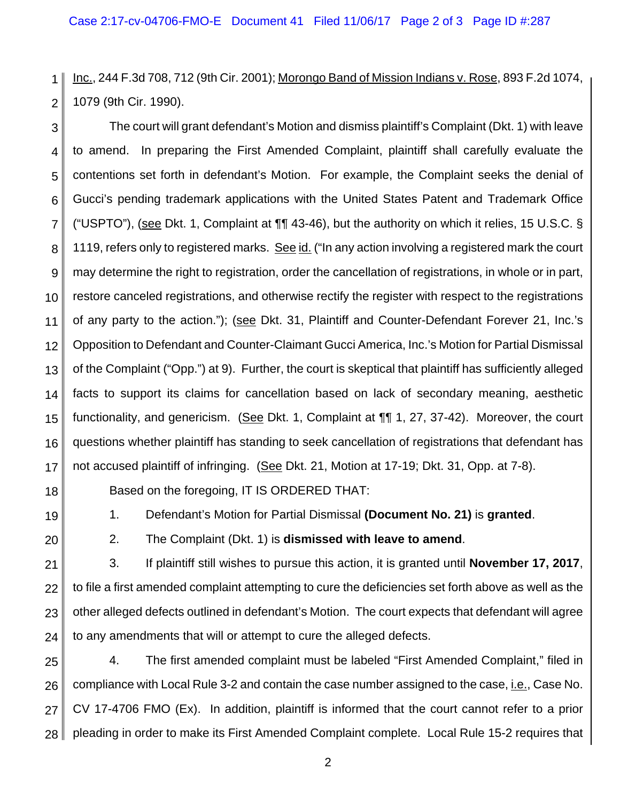1 2 Inc., 244 F.3d 708, 712 (9th Cir. 2001); Morongo Band of Mission Indians v. Rose, 893 F.2d 1074, 1079 (9th Cir. 1990).

3 4 5 6 7 8 9 10 11 12 13 14 15 16 17 The court will grant defendant's Motion and dismiss plaintiff's Complaint (Dkt. 1) with leave to amend. In preparing the First Amended Complaint, plaintiff shall carefully evaluate the contentions set forth in defendant's Motion. For example, the Complaint seeks the denial of Gucci's pending trademark applications with the United States Patent and Trademark Office ("USPTO"), (see Dkt. 1, Complaint at ¶¶ 43-46), but the authority on which it relies, 15 U.S.C. § 1119, refers only to registered marks. See id. ("In any action involving a registered mark the court may determine the right to registration, order the cancellation of registrations, in whole or in part, restore canceled registrations, and otherwise rectify the register with respect to the registrations of any party to the action."); (see Dkt. 31, Plaintiff and Counter-Defendant Forever 21, Inc.'s Opposition to Defendant and Counter-Claimant Gucci America, Inc.'s Motion for Partial Dismissal of the Complaint ("Opp.") at 9). Further, the court is skeptical that plaintiff has sufficiently alleged facts to support its claims for cancellation based on lack of secondary meaning, aesthetic functionality, and genericism. (See Dkt. 1, Complaint at ¶¶ 1, 27, 37-42). Moreover, the court questions whether plaintiff has standing to seek cancellation of registrations that defendant has not accused plaintiff of infringing. (See Dkt. 21, Motion at 17-19; Dkt. 31, Opp. at 7-8).

- 18
- 19

1. Defendant's Motion for Partial Dismissal **(Document No. 21)** is **granted**.

Based on the foregoing, IT IS ORDERED THAT:

20

2. The Complaint (Dkt. 1) is **dismissed with leave to amend**.

21 22 23 24 3. If plaintiff still wishes to pursue this action, it is granted until **November 17, 2017**, to file a first amended complaint attempting to cure the deficiencies set forth above as well as the other alleged defects outlined in defendant's Motion. The court expects that defendant will agree to any amendments that will or attempt to cure the alleged defects.

25 26 27 28 4. The first amended complaint must be labeled "First Amended Complaint," filed in compliance with Local Rule 3-2 and contain the case number assigned to the case, i.e., Case No. CV 17-4706 FMO (Ex). In addition, plaintiff is informed that the court cannot refer to a prior pleading in order to make its First Amended Complaint complete. Local Rule 15-2 requires that

2